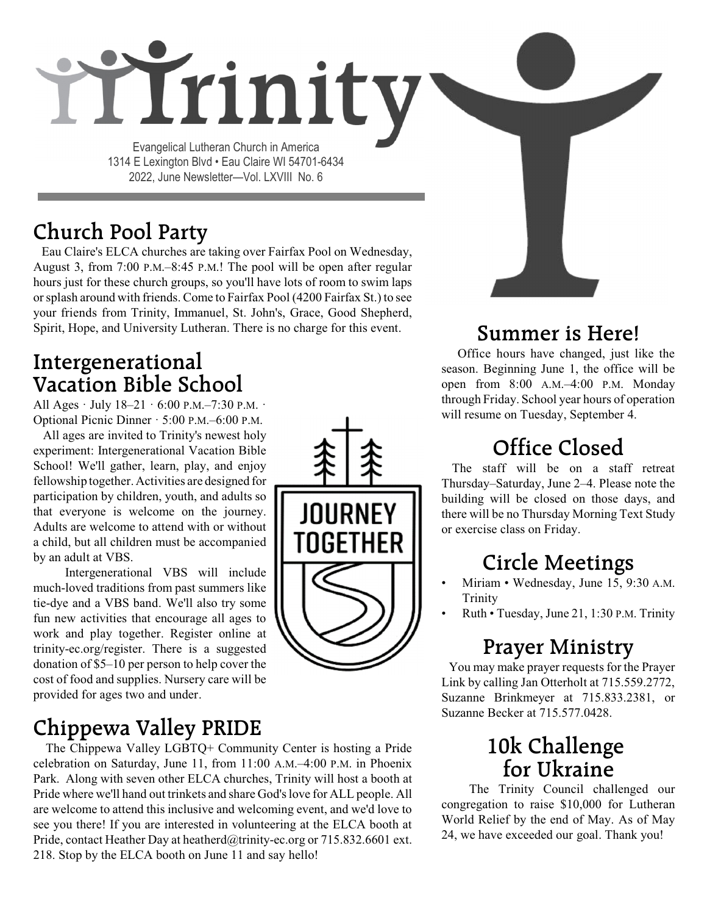# rrinity

Evangelical Lutheran Church in America 1314 E Lexington Blvd • Eau Claire WI 54701-6434 2022, June Newsletter—Vol. LXVIII No. 6

## **Church Pool Party**

Eau Claire's ELCA churches are taking over Fairfax Pool on Wednesday, August 3, from 7:00 P.M.–8:45 P.M.! The pool will be open after regular hours just for these church groups, so you'll have lots of room to swim laps orsplash around with friends. Come to Fairfax Pool (4200 Fairfax St.) to see your friends from Trinity, Immanuel, St. John's, Grace, Good Shepherd, Spirit, Hope, and University Lutheran. There is no charge for this event.

## **Intergenerational Vacation Bible School**

All Ages · July 18–21 · 6:00 P.M.–7:30 P.M. · Optional Picnic Dinner · 5:00 P.M.–6:00 P.M.

 All ages are invited to Trinity's newest holy experiment: Intergenerational Vacation Bible School! We'll gather, learn, play, and enjoy fellowship together. Activities are designed for participation by children, youth, and adults so that everyone is welcome on the journey. Adults are welcome to attend with or without a child, but all children must be accompanied by an adult at VBS.

Intergenerational VBS will include much-loved traditions from past summers like tie-dye and a VBS band. We'll also try some fun new activities that encourage all ages to work and play together. Register online at trinity-ec.org/register. There is a suggested donation of \$5–10 per person to help cover the cost of food and supplies. Nursery care will be provided for ages two and under.

## **Chippewa Valley PRIDE**

The Chippewa Valley LGBTQ+ Community Center is hosting a Pride celebration on Saturday, June 11, from 11:00 A.M.–4:00 P.M. in Phoenix Park. Along with seven other ELCA churches, Trinity will host a booth at Pride where we'll hand out trinkets and share God's love for ALL people. All are welcome to attend this inclusive and welcoming event, and we'd love to see you there! If you are interested in volunteering at the ELCA booth at Pride, contact Heather Day at heatherd@trinity-ec.org or 715.832.6601 ext. 218. Stop by the ELCA booth on June 11 and say hello!



## **Summer is Here!**

Office hours have changed, just like the season. Beginning June 1, the office will be open from 8:00 A.M.–4:00 P.M. Monday through Friday. School year hours of operation will resume on Tuesday, September 4.

## **Office Closed**

The staff will be on a staff retreat Thursday–Saturday, June 2–4. Please note the building will be closed on those days, and there will be no Thursday Morning Text Study or exercise class on Friday.

## **Circle Meetings**

- Miriam Wednesday, June 15, 9:30 A.M. **Trinity**
- Ruth Tuesday, June 21, 1:30 P.M. Trinity

## **Prayer Ministry**

You may make prayer requests for the Prayer Link by calling Jan Otterholt at 715.559.2772, Suzanne Brinkmeyer at 715.833.2381, or Suzanne Becker at 715.577.0428.

## **10k Challenge for Ukraine**

The Trinity Council challenged our congregation to raise \$10,000 for Lutheran World Relief by the end of May. As of May 24, we have exceeded our goal. Thank you!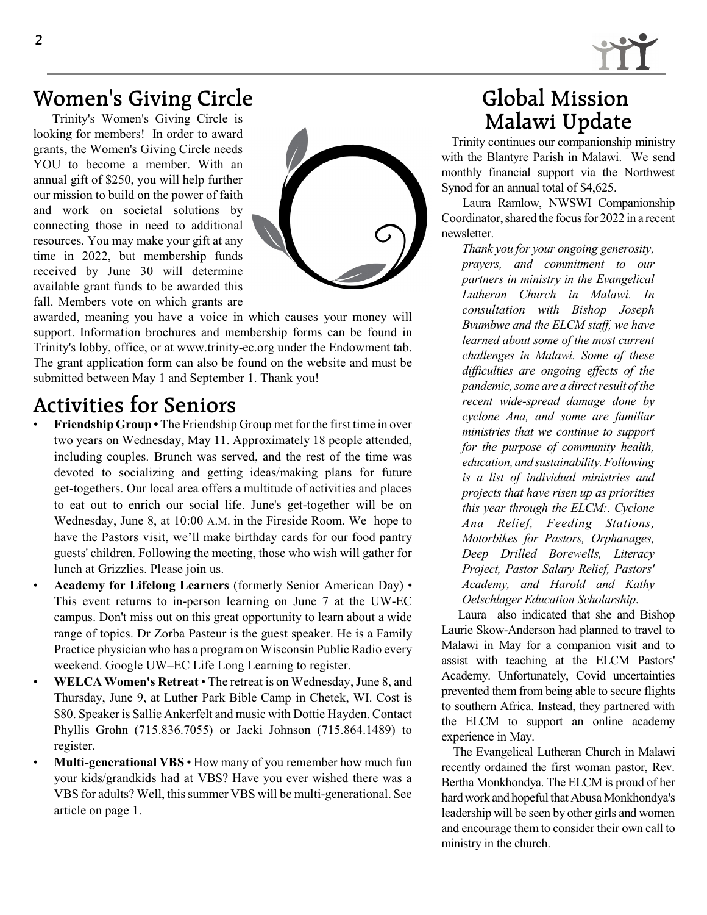

## **Women's Giving Circle**

Trinity's Women's Giving Circle is looking for members! In order to award grants, the Women's Giving Circle needs YOU to become a member. With an annual gift of \$250, you will help further our mission to build on the power of faith and work on societal solutions by connecting those in need to additional resources. You may make your gift at any time in 2022, but membership funds received by June 30 will determine available grant funds to be awarded this fall. Members vote on which grants are



awarded, meaning you have a voice in which causes your money will support. Information brochures and membership forms can be found in Trinity's lobby, office, or at www.trinity-ec.org under the Endowment tab. The grant application form can also be found on the website and must be submitted between May 1 and September 1. Thank you!

#### **Activities for Seniors**

- **Friendship Group •** The Friendship Group met for the first time in over two years on Wednesday, May 11. Approximately 18 people attended, including couples. Brunch was served, and the rest of the time was devoted to socializing and getting ideas/making plans for future get-togethers. Our local area offers a multitude of activities and places to eat out to enrich our social life. June's get-together will be on Wednesday, June 8, at 10:00 A.M. in the Fireside Room. We hope to have the Pastors visit, we'll make birthday cards for our food pantry guests' children. Following the meeting, those who wish will gather for lunch at Grizzlies. Please join us.
- **Academy for Lifelong Learners** (formerly Senior American Day) This event returns to in-person learning on June 7 at the UW-EC campus. Don't miss out on this great opportunity to learn about a wide range of topics. Dr Zorba Pasteur is the guest speaker. He is a Family Practice physician who has a program on Wisconsin Public Radio every weekend. Google UW–EC Life Long Learning to register.
- **WELCA Women's Retreat** The retreat is on Wednesday, June 8, and Thursday, June 9, at Luther Park Bible Camp in Chetek, WI. Cost is \$80. Speaker is Sallie Ankerfelt and music with Dottie Hayden. Contact Phyllis Grohn (715.836.7055) or Jacki Johnson (715.864.1489) to register.
- **Multi-generational VBS** How many of you remember how much fun your kids/grandkids had at VBS? Have you ever wished there was a VBS for adults? Well, this summer VBS will be multi-generational. See article on page 1.

#### **Global Mission Malawi Update**

Trinity continues our companionship ministry with the Blantyre Parish in Malawi. We send monthly financial support via the Northwest Synod for an annual total of \$4,625.

Laura Ramlow, NWSWI Companionship Coordinator, shared the focus for 2022 in a recent newsletter.

*Thank you for your ongoing generosity, prayers, and commitment to our partners in ministry in the Evangelical Lutheran Church in Malawi. In consultation with Bishop Joseph Bvumbwe and the ELCM staff, we have learned about some of the most current challenges in Malawi. Some of these difficulties are ongoing effects of the pandemic,some are a directresult of the recent wide-spread damage done by cyclone Ana, and some are familiar ministries that we continue to support for the purpose of community health, education, andsustainability.Following is a list of individual ministries and projects that have risen up as priorities this year through the ELCM:*. *Cyclone Ana Relief, Feeding Stations, Motorbikes for Pastors, Orphanages, Deep Drilled Borewells, Literacy Project, Pastor Salary Relief, Pastors' Academy, and Harold and Kathy Oelschlager Education Scholarship*.

Laura also indicated that she and Bishop Laurie Skow-Anderson had planned to travel to Malawi in May for a companion visit and to assist with teaching at the ELCM Pastors' Academy. Unfortunately, Covid uncertainties prevented them from being able to secure flights to southern Africa. Instead, they partnered with the ELCM to support an online academy experience in May.

The Evangelical Lutheran Church in Malawi recently ordained the first woman pastor, Rev. Bertha Monkhondya. The ELCM is proud of her hard work and hopeful that Abusa Monkhondya's leadership will be seen by other girls and women and encourage them to consider their own call to ministry in the church.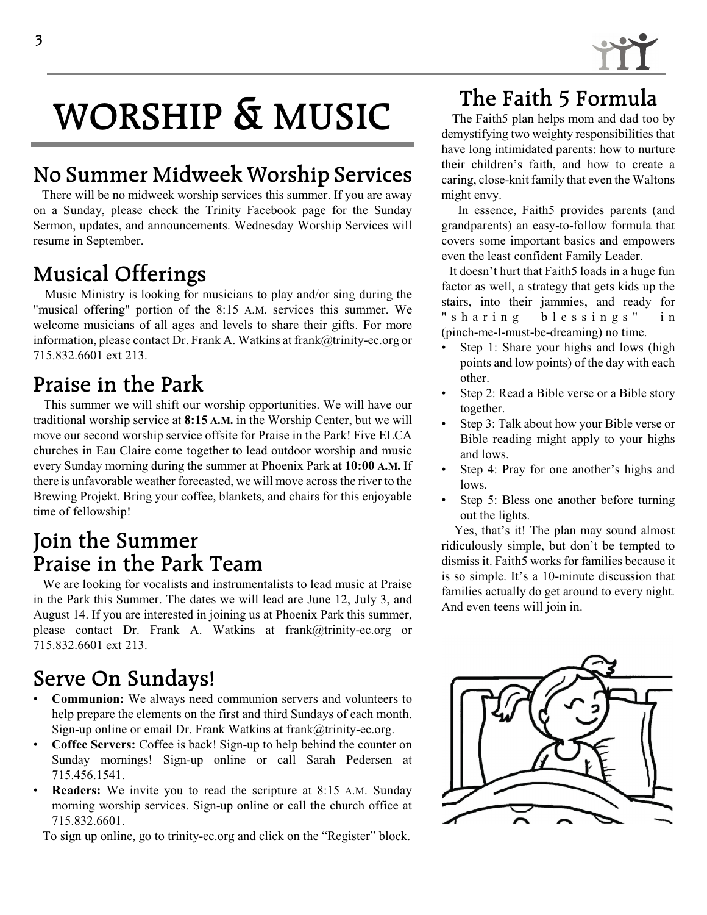# **WORSHIP & MUSIC**

## **No Summer Midweek Worship Services**

There will be no midweek worship services this summer. If you are away on a Sunday, please check the Trinity Facebook page for the Sunday Sermon, updates, and announcements. Wednesday Worship Services will resume in September.

## **Musical Offerings**

Music Ministry is looking for musicians to play and/or sing during the "musical offering" portion of the 8:15 A.M. services this summer. We welcome musicians of all ages and levels to share their gifts. For more information, please contact Dr. Frank A. Watkins at frank@trinity-ec.org or 715.832.6601 ext 213.

#### **Praise in the Park**

This summer we will shift our worship opportunities. We will have our traditional worship service at **8:15 A.M.** in the Worship Center, but we will move our second worship service offsite for Praise in the Park! Five ELCA churches in Eau Claire come together to lead outdoor worship and music every Sunday morning during the summer at Phoenix Park at **10:00 A.M.** If there is unfavorable weather forecasted, we will move across the river to the Brewing Projekt. Bring your coffee, blankets, and chairs for this enjoyable time of fellowship!

#### **Join the Summer Praise in the Park Team**

 We are looking for vocalists and instrumentalists to lead music at Praise in the Park this Summer. The dates we will lead are June 12, July 3, and August 14. If you are interested in joining us at Phoenix Park this summer, please contact Dr. Frank A. Watkins at frank@trinity-ec.org or 715.832.6601 ext 213.

## **Serve On Sundays!**

- **Communion:** We always need communion servers and volunteers to help prepare the elements on the first and third Sundays of each month. Sign-up online or email Dr. Frank Watkins at frank@trinity-ec.org.
- **Coffee Servers:** Coffee is back! Sign-up to help behind the counter on Sunday mornings! Sign-up online or call Sarah Pedersen at 715.456.1541.
- **Readers:** We invite you to read the scripture at 8:15 A.M. Sunday morning worship services. Sign-up online or call the church office at 715.832.6601.

To sign up online, go to trinity-ec.org and click on the "Register" block.

## **The Faith 5 Formula**

The Faith5 plan helps mom and dad too by demystifying two weighty responsibilities that have long intimidated parents: how to nurture their children's faith, and how to create a caring, close-knit family that even the Waltons might envy.

In essence, Faith5 provides parents (and grandparents) an easy-to-follow formula that covers some important basics and empowers even the least confident Family Leader.

It doesn't hurt that Faith5 loads in a huge fun factor as well, a strategy that gets kids up the stairs, into their jammies, and ready for " sharing blessings" in (pinch-me-I-must-be-dreaming) no time.

- Step 1: Share your highs and lows (high points and low points) of the day with each other.
- Step 2: Read a Bible verse or a Bible story together.
- Step 3: Talk about how your Bible verse or Bible reading might apply to your highs and lows.
- Step 4: Pray for one another's highs and lows.
- Step 5: Bless one another before turning out the lights.

Yes, that's it! The plan may sound almost ridiculously simple, but don't be tempted to dismiss it. Faith5 works for families because it is so simple. It's a 10-minute discussion that families actually do get around to every night. And even teens will join in.

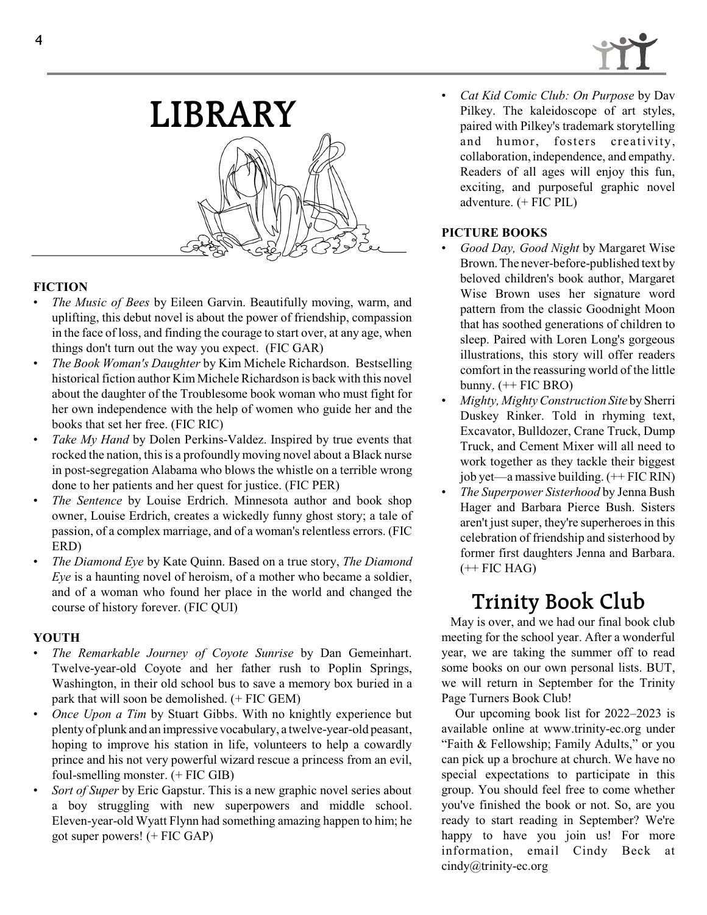



#### **FICTION**

- *The Music of Bees* by Eileen Garvin. Beautifully moving, warm, and uplifting, this debut novel is about the power of friendship, compassion in the face of loss, and finding the courage to start over, at any age, when things don't turn out the way you expect. (FIC GAR)
- *The Book Woman's Daughter* by Kim Michele Richardson. Bestselling historical fiction author Kim Michele Richardson is back with this novel about the daughter of the Troublesome book woman who must fight for her own independence with the help of women who guide her and the books that set her free. (FIC RIC)
- *Take My Hand* by Dolen Perkins-Valdez. Inspired by true events that rocked the nation, this is a profoundly moving novel about a Black nurse in post-segregation Alabama who blows the whistle on a terrible wrong done to her patients and her quest for justice. (FIC PER)
- *The Sentence* by Louise Erdrich. Minnesota author and book shop owner, Louise Erdrich, creates a wickedly funny ghost story; a tale of passion, of a complex marriage, and of a woman's relentless errors. (FIC ERD)
- *The Diamond Eye* by Kate Quinn. Based on a true story, *The Diamond Eye* is a haunting novel of heroism, of a mother who became a soldier, and of a woman who found her place in the world and changed the course of history forever. (FIC QUI)

#### **YOUTH**

- *The Remarkable Journey of Coyote Sunrise* by Dan Gemeinhart. Twelve-year-old Coyote and her father rush to Poplin Springs, Washington, in their old school bus to save a memory box buried in a park that will soon be demolished. (+ FIC GEM)
- *Once Upon a Tim* by Stuart Gibbs. With no knightly experience but plenty of plunk and an impressive vocabulary, a twelve-year-old peasant, hoping to improve his station in life, volunteers to help a cowardly prince and his not very powerful wizard rescue a princess from an evil, foul-smelling monster. (+ FIC GIB)
- *Sort of Super* by Eric Gapstur. This is a new graphic novel series about a boy struggling with new superpowers and middle school. Eleven-year-old Wyatt Flynn had something amazing happen to him; he got super powers! (+ FIC GAP)

• *Cat Kid Comic Club: On Purpose* by Dav Pilkey. The kaleidoscope of art styles, paired with Pilkey's trademark storytelling and humor, fosters creativity, collaboration, independence, and empathy. Readers of all ages will enjoy this fun, exciting, and purposeful graphic novel adventure. (+ FIC PIL)

#### **PICTURE BOOKS**

- *Good Day, Good Night* by Margaret Wise Brown.The never-before-published text by beloved children's book author, Margaret Wise Brown uses her signature word pattern from the classic Goodnight Moon that has soothed generations of children to sleep. Paired with Loren Long's gorgeous illustrations, this story will offer readers comfort in the reassuring world of the little bunny.  $(+$  FIC BRO)
- *Mighty, Mighty Construction Site* by Sherri Duskey Rinker. Told in rhyming text, Excavator, Bulldozer, Crane Truck, Dump Truck, and Cement Mixer will all need to work together as they tackle their biggest job yet—a massive building. (++ FIC RIN)
- *The Superpower Sisterhood* by Jenna Bush Hager and Barbara Pierce Bush. Sisters aren't just super, they're superheroes in this celebration of friendship and sisterhood by former first daughters Jenna and Barbara.  $(+$  FIC HAG)

#### **Trinity Book Club**

May is over, and we had our final book club meeting for the school year. After a wonderful year, we are taking the summer off to read some books on our own personal lists. BUT, we will return in September for the Trinity Page Turners Book Club!

Our upcoming book list for 2022–2023 is available online at www.trinity-ec.org under "Faith & Fellowship; Family Adults," or you can pick up a brochure at church. We have no special expectations to participate in this group. You should feel free to come whether you've finished the book or not. So, are you ready to start reading in September? We're happy to have you join us! For more information, email Cindy Beck at cindy@trinity-ec.org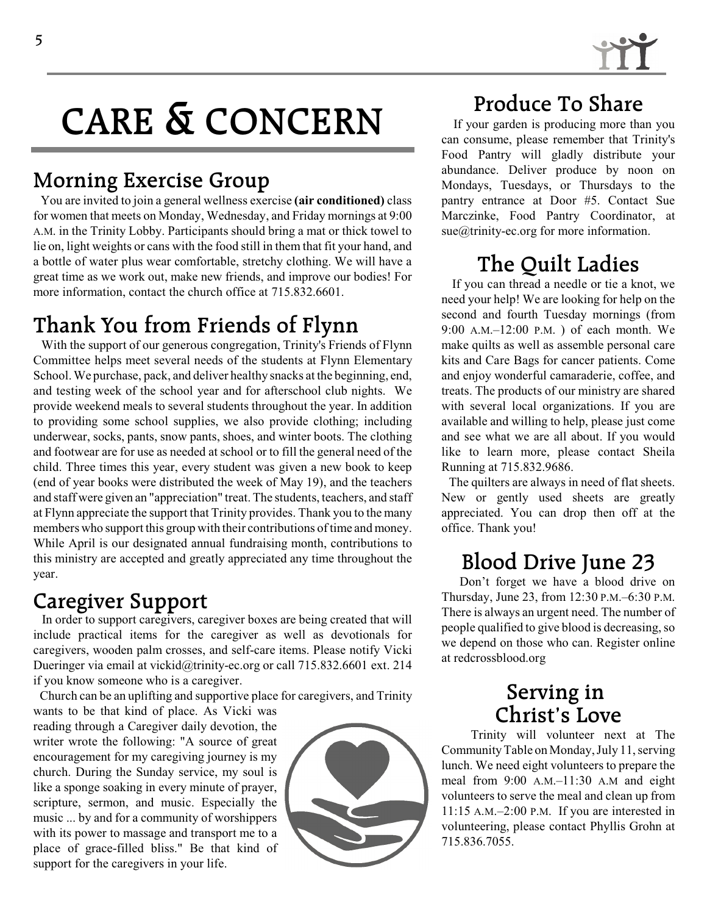

# **CARE & CONCERN**

#### **Morning Exercise Group**

You are invited to join a general wellness exercise **(air conditioned)** class for women that meets on Monday, Wednesday, and Friday mornings at 9:00 A.M. in the Trinity Lobby. Participants should bring a mat or thick towel to lie on, light weights or cans with the food still in them that fit your hand, and a bottle of water plus wear comfortable, stretchy clothing. We will have a great time as we work out, make new friends, and improve our bodies! For more information, contact the church office at 715.832.6601.

## **Thank You from Friends of Flynn**

With the support of our generous congregation, Trinity's Friends of Flynn Committee helps meet several needs of the students at Flynn Elementary School. We purchase, pack, and deliver healthy snacks at the beginning, end, and testing week of the school year and for afterschool club nights. We provide weekend meals to several students throughout the year. In addition to providing some school supplies, we also provide clothing; including underwear, socks, pants, snow pants, shoes, and winter boots. The clothing and footwear are for use as needed at school or to fill the general need of the child. Three times this year, every student was given a new book to keep (end of year books were distributed the week of May 19), and the teachers and staff were given an "appreciation" treat. The students, teachers, and staff at Flynn appreciate the support that Trinity provides. Thank you to the many members who support this group with their contributions of time and money. While April is our designated annual fundraising month, contributions to this ministry are accepted and greatly appreciated any time throughout the year.

#### **Caregiver Support**

In order to support caregivers, caregiver boxes are being created that will include practical items for the caregiver as well as devotionals for caregivers, wooden palm crosses, and self-care items. Please notify Vicki Dueringer via email at vickid@trinity-ec.org or call 715.832.6601 ext. 214 if you know someone who is a caregiver.

Church can be an uplifting and supportive place for caregivers, and Trinity

wants to be that kind of place. As Vicki was reading through a Caregiver daily devotion, the writer wrote the following: "A source of great encouragement for my caregiving journey is my church. During the Sunday service, my soul is like a sponge soaking in every minute of prayer, scripture, sermon, and music. Especially the music ... by and for a community of worshippers with its power to massage and transport me to a place of grace-filled bliss." Be that kind of support for the caregivers in your life.



## **Produce To Share**

If your garden is producing more than you can consume, please remember that Trinity's Food Pantry will gladly distribute your abundance. Deliver produce by noon on Mondays, Tuesdays, or Thursdays to the pantry entrance at Door #5. Contact Sue Marczinke, Food Pantry Coordinator, at sue@trinity-ec.org for more information.

## **The Quilt Ladies**

If you can thread a needle or tie a knot, we need your help! We are looking for help on the second and fourth Tuesday mornings (from 9:00 A.M.–12:00 P.M. ) of each month. We make quilts as well as assemble personal care kits and Care Bags for cancer patients. Come and enjoy wonderful camaraderie, coffee, and treats. The products of our ministry are shared with several local organizations. If you are available and willing to help, please just come and see what we are all about. If you would like to learn more, please contact Sheila Running at 715.832.9686.

The quilters are always in need of flat sheets. New or gently used sheets are greatly appreciated. You can drop then off at the office. Thank you!

## **Blood Drive June 23**

Don't forget we have a blood drive on Thursday, June 23, from 12:30 P.M.–6:30 P.M. There is always an urgent need. The number of people qualified to give blood is decreasing, so we depend on those who can. Register online at redcrossblood.org

#### **Serving in Christ's Love**

Trinity will volunteer next at The CommunityTable on Monday, July 11, serving lunch. We need eight volunteers to prepare the meal from 9:00 A.M.–11:30 A.M and eight volunteers to serve the meal and clean up from 11:15 A.M.–2:00 P.M. If you are interested in volunteering, please contact Phyllis Grohn at 715.836.7055.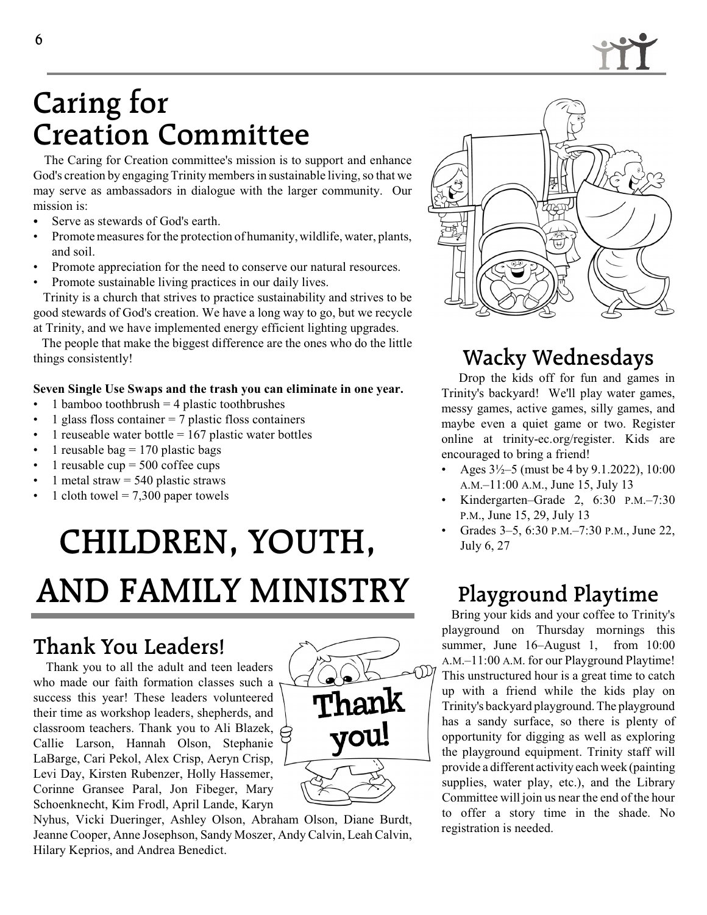

## **Caring for Creation Committee**

The Caring for Creation committee's mission is to support and enhance God's creation by engaging Trinity members in sustainable living, so that we may serve as ambassadors in dialogue with the larger community. Our mission is:

- Serve as stewards of God's earth.
- Promote measures forthe protection of humanity, wildlife, water, plants, and soil.
- Promote appreciation for the need to conserve our natural resources.
- Promote sustainable living practices in our daily lives. Trinity is a church that strives to practice sustainability and strives to be good stewards of God's creation. We have a long way to go, but we recycle

at Trinity, and we have implemented energy efficient lighting upgrades.

The people that make the biggest difference are the ones who do the little things consistently!

#### **Seven Single Use Swaps and the trash you can eliminate in one year.**

- 1 bamboo toothbrush  $=$  4 plastic toothbrushes
- 1 glass floss container  $= 7$  plastic floss containers
- 1 reuseable water bottle  $= 167$  plastic water bottles
- 1 reusable bag  $= 170$  plastic bags
- 1 reusable cup  $= 500$  coffee cups
- 1 metal straw  $= 540$  plastic straws
- 1 cloth towel  $= 7,300$  paper towels

# **CHILDREN, YOUTH, AND FAMILY MINISTRY**

## **Thank You Leaders!**

Thank you to all the adult and teen leaders who made our faith formation classes such a success this year! These leaders volunteered their time as workshop leaders, shepherds, and classroom teachers. Thank you to Ali Blazek, Callie Larson, Hannah Olson, Stephanie LaBarge, Cari Pekol, Alex Crisp, Aeryn Crisp, Levi Day, Kirsten Rubenzer, Holly Hassemer, Corinne Gransee Paral, Jon Fibeger, Mary Schoenknecht, Kim Frodl, April Lande, Karyn



Nyhus, Vicki Dueringer, Ashley Olson, Abraham Olson, Diane Burdt, Jeanne Cooper, Anne Josephson, Sandy Moszer, Andy Calvin, Leah Calvin, Hilary Keprios, and Andrea Benedict.



## **Wacky Wednesdays**

Drop the kids off for fun and games in Trinity's backyard! We'll play water games, messy games, active games, silly games, and maybe even a quiet game or two. Register online at trinity-ec.org/register. Kids are encouraged to bring a friend!

- Ages 3½–5 (must be 4 by 9.1.2022), 10:00 A.M.–11:00 A.M., June 15, July 13
- Kindergarten–Grade 2, 6:30 P.M.–7:30 P.M., June 15, 29, July 13
- Grades 3–5, 6:30 P.M.–7:30 P.M., June 22, July 6, 27

## **Playground Playtime**

Bring your kids and your coffee to Trinity's playground on Thursday mornings this summer, June 16–August 1, from 10:00 A.M.–11:00 A.M. for our Playground Playtime! This unstructured hour is a great time to catch up with a friend while the kids play on Trinity's backyard playground. The playground has a sandy surface, so there is plenty of opportunity for digging as well as exploring the playground equipment. Trinity staff will provide a different activity each week (painting supplies, water play, etc.), and the Library Committee will join us near the end of the hour to offer a story time in the shade. No registration is needed.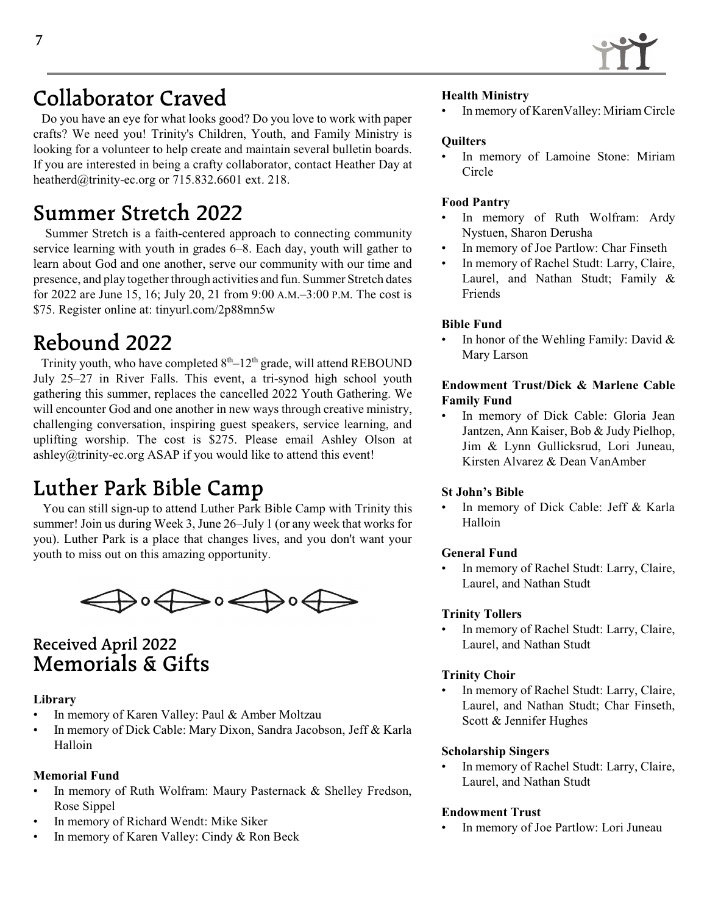

## **Collaborator Craved**

Do you have an eye for what looks good? Do you love to work with paper crafts? We need you! Trinity's Children, Youth, and Family Ministry is looking for a volunteer to help create and maintain several bulletin boards. If you are interested in being a crafty collaborator, contact Heather Day at heatherd@trinity-ec.org or 715.832.6601 ext. 218.

## **Summer Stretch 2022**

Summer Stretch is a faith-centered approach to connecting community service learning with youth in grades 6–8. Each day, youth will gather to learn about God and one another, serve our community with our time and presence, and play together through activities and fun. Summer Stretch dates for 2022 are June 15, 16; July 20, 21 from 9:00 A.M.–3:00 P.M. The cost is \$75. Register online at: tinyurl.com/2p88mn5w

## **Rebound 2022**

Trinity youth, who have completed  $8<sup>th</sup>-12<sup>th</sup>$  grade, will attend REBOUND July 25–27 in River Falls. This event, a tri-synod high school youth gathering this summer, replaces the cancelled 2022 Youth Gathering. We will encounter God and one another in new ways through creative ministry, challenging conversation, inspiring guest speakers, service learning, and uplifting worship. The cost is \$275. Please email Ashley Olson at ashley@trinity-ec.org ASAP if you would like to attend this event!

## **Luther Park Bible Camp**

 You can still sign-up to attend Luther Park Bible Camp with Trinity this summer! Join us during Week 3, June 26–July 1 (or any week that works for you). Luther Park is a place that changes lives, and you don't want your youth to miss out on this amazing opportunity.



#### **Received April 2022 Memorials & Gifts**

#### **Library**

- In memory of Karen Valley: Paul & Amber Moltzau
- In memory of Dick Cable: Mary Dixon, Sandra Jacobson, Jeff & Karla Halloin

#### **Memorial Fund**

- In memory of Ruth Wolfram: Maury Pasternack & Shelley Fredson, Rose Sippel
- In memory of Richard Wendt: Mike Siker
- In memory of Karen Valley: Cindy & Ron Beck

#### **Health Ministry**

• In memory of KarenValley: Miriam Circle

#### **Quilters**

In memory of Lamoine Stone: Miriam Circle

#### **Food Pantry**

- In memory of Ruth Wolfram: Ardy Nystuen, Sharon Derusha
- In memory of Joe Partlow: Char Finseth
- In memory of Rachel Studt: Larry, Claire, Laurel, and Nathan Studt; Family & Friends

#### **Bible Fund**

In honor of the Wehling Family: David  $&$ Mary Larson

#### **Endowment Trust/Dick & Marlene Cable Family Fund**

In memory of Dick Cable: Gloria Jean Jantzen, Ann Kaiser, Bob & Judy Pielhop, Jim & Lynn Gullicksrud, Lori Juneau, Kirsten Alvarez & Dean VanAmber

#### **St John's Bible**

In memory of Dick Cable: Jeff & Karla Halloin

#### **General Fund**

In memory of Rachel Studt: Larry, Claire, Laurel, and Nathan Studt

#### **Trinity Tollers**

In memory of Rachel Studt: Larry, Claire, Laurel, and Nathan Studt

#### **Trinity Choir**

In memory of Rachel Studt: Larry, Claire, Laurel, and Nathan Studt; Char Finseth, Scott & Jennifer Hughes

#### **Scholarship Singers**

In memory of Rachel Studt: Larry, Claire, Laurel, and Nathan Studt

#### **Endowment Trust**

• In memory of Joe Partlow: Lori Juneau